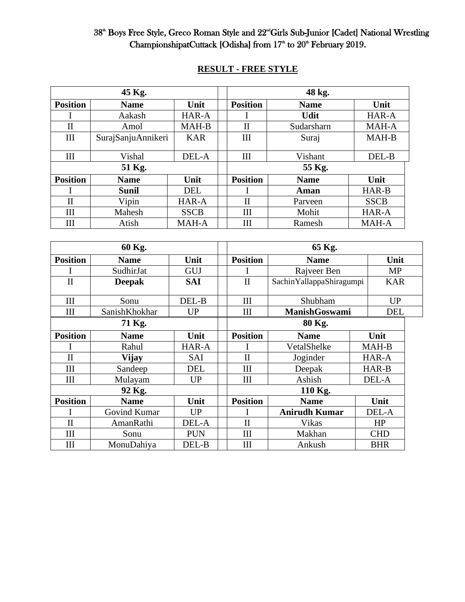#### 38<sup>th</sup> Boys Free Style, Greco Roman Style and 22<sup>nd</sup>Girls Sub-Junior [Cadet] National Wrestling ChampionshipatCuttack [Odisha] from  $17<sup>th</sup>$  to  $20<sup>th</sup>$  February 2019.

|                 | 45 Kg.             |             | 48 kg.          |             |             |  |  |
|-----------------|--------------------|-------------|-----------------|-------------|-------------|--|--|
| <b>Position</b> | <b>Name</b>        | Unit        | <b>Position</b> | <b>Name</b> | Unit        |  |  |
|                 | Aakash             | HAR-A       |                 | <b>Udit</b> | HAR-A       |  |  |
| $\rm II$        | Amol               | MAH-B       | $\rm II$        | Sudarsharn  | MAH-A       |  |  |
| Ш               | SurajSanjuAnnikeri | <b>KAR</b>  | III             | Suraj       | MAH-B       |  |  |
| Ш               | Vishal             | DEL-A       | III             | Vishant     | DEL-B       |  |  |
|                 | 51 Kg.             |             | 55 Kg.          |             |             |  |  |
| <b>Position</b> | <b>Name</b>        | Unit        | <b>Position</b> | <b>Name</b> | Unit        |  |  |
|                 | <b>Sunil</b>       | <b>DEL</b>  |                 | Aman        | HAR-B       |  |  |
| $\rm II$        | Vipin              | HAR-A       | $\mathbf{I}$    | Parveen     | <b>SSCB</b> |  |  |
| Ш               | Mahesh             | <b>SSCB</b> | Ш               | Mohit       | HAR-A       |  |  |
| Ш               | Atish              | MAH-A       | III             | Ramesh      | MAH-A       |  |  |

# **RESULT - FREE STYLE**

| 60 Kg.             |               |            |         | 65 Kg.             |                          |            |            |  |
|--------------------|---------------|------------|---------|--------------------|--------------------------|------------|------------|--|
| <b>Position</b>    | <b>Name</b>   | Unit       |         | <b>Position</b>    | <b>Name</b>              |            | Unit       |  |
|                    | SudhirJat     | <b>GUJ</b> |         |                    | Rajveer Ben              |            | MP         |  |
| $\mathbf{I}$       | <b>Deepak</b> | SAI        |         | $\mathbf{I}$       | SachinYallappaShiragumpi |            | <b>KAR</b> |  |
|                    |               |            |         |                    |                          |            |            |  |
| $\mathop{\rm III}$ | Sonu          | DEL-B      |         | III                | Shubham                  |            | <b>UP</b>  |  |
| $\mathop{\rm III}$ | SanishKhokhar | <b>UP</b>  |         | III                | <b>ManishGoswami</b>     |            | <b>DEL</b> |  |
| 71 Kg.             |               |            |         | 80 Kg.             |                          |            |            |  |
| <b>Position</b>    | <b>Name</b>   | Unit       |         | <b>Position</b>    | <b>Name</b>              | Unit       |            |  |
|                    | Rahul         | HAR-A      |         |                    | VetalShelke              | MAH-B      |            |  |
| $\mathbf{I}$       | <b>Vijay</b>  | <b>SAI</b> |         | $\mathbf{I}$       | Joginder                 | HAR-A      |            |  |
| III                | Sandeep       | <b>DEL</b> |         | III                | Deepak                   | HAR-B      |            |  |
| III                | Mulayam       | <b>UP</b>  |         | $\mathop{\rm III}$ | Ashish                   |            | DEL-A      |  |
|                    | 92 Kg.        |            | 110 Kg. |                    |                          |            |            |  |
| <b>Position</b>    | <b>Name</b>   | Unit       |         | <b>Position</b>    | <b>Name</b>              | Unit       |            |  |
|                    | Govind Kumar  | <b>UP</b>  |         |                    | <b>Anirudh Kumar</b>     |            | DEL-A      |  |
| $\mathbf{I}$       | AmanRathi     | DEL-A      |         | $\mathbf{I}$       | Vikas                    |            | HP         |  |
| III                | Sonu          | <b>PUN</b> |         | III                | Makhan                   | <b>CHD</b> |            |  |
| Ш                  | MonuDahiya    | DEL-B      |         | Ш                  | Ankush                   | <b>BHR</b> |            |  |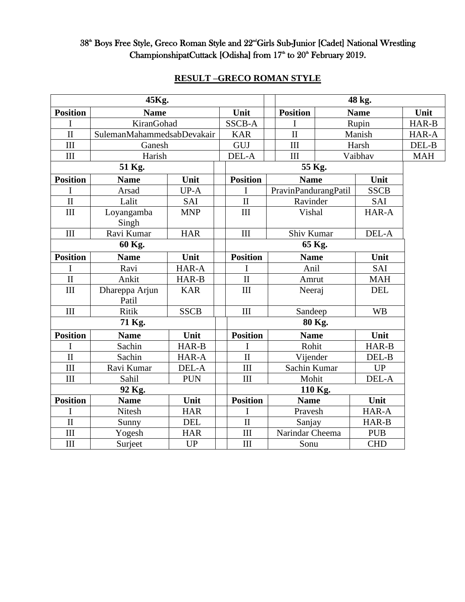## 38<sup>th</sup> Boys Free Style, Greco Roman Style and 22<sup>nd</sup>Girls Sub-Junior [Cadet] National Wrestling ChampionshipatCuttack [Odisha] from  $17<sup>th</sup>$  to  $20<sup>th</sup>$  February 2019.

| 45Kg.                            |                            |             |  |                                |         | 48 kg.               |             |             |       |  |
|----------------------------------|----------------------------|-------------|--|--------------------------------|---------|----------------------|-------------|-------------|-------|--|
| <b>Position</b>                  | <b>Name</b>                |             |  | Unit                           |         | <b>Position</b>      | <b>Name</b> |             | Unit  |  |
| I                                | KiranGohad                 |             |  | <b>SSCB-A</b>                  |         | I                    | Rupin       |             | HAR-B |  |
| $\mathbf{I}$                     | SulemanMahammedsabDevakair |             |  | <b>KAR</b>                     |         | $\mathbf{I}$         |             | Manish      | HAR-A |  |
| III                              | Ganesh                     |             |  | GUJ                            |         | III                  | Harsh       |             | DEL-B |  |
| III                              | Harish                     |             |  | DEL-A                          |         | III                  | Vaibhav     |             |       |  |
| 51 Kg.                           |                            |             |  | 55 Kg.                         |         |                      |             |             |       |  |
| <b>Position</b>                  | <b>Name</b>                | Unit        |  | <b>Position</b>                |         | <b>Name</b>          |             | Unit        |       |  |
| I                                | Arsad                      | UP-A        |  | I                              |         | PravinPandurangPatil |             | <b>SSCB</b> |       |  |
| $\mathbf H$                      | Lalit                      | SAI         |  | $\mathbf{I}$                   |         | Ravinder             | SAI         |             |       |  |
| III                              | Loyangamba                 | <b>MNP</b>  |  | III                            |         | Vishal               |             | HAR-A       |       |  |
|                                  | Singh                      |             |  |                                |         |                      |             |             |       |  |
| $\mathop{\mathrm{III}}\nolimits$ | Ravi Kumar                 | <b>HAR</b>  |  | III                            |         | Shiv Kumar           |             | DEL-A       |       |  |
|                                  | 60 Kg.                     |             |  |                                |         |                      |             |             |       |  |
| <b>Position</b>                  | <b>Name</b>                | Unit        |  | <b>Position</b><br><b>Name</b> |         | Unit                 |             |             |       |  |
| I                                | Ravi                       | HAR-A       |  | I                              |         | Anil                 |             | <b>SAI</b>  |       |  |
| $\mathbf{I}$                     | Ankit                      | HAR-B       |  | $\mathbf{I}$                   |         | Amrut                |             | <b>MAH</b>  |       |  |
| III                              | Dhareppa Arjun             | <b>KAR</b>  |  | III                            |         | Neeraj               |             | <b>DEL</b>  |       |  |
|                                  | Patil                      |             |  |                                |         |                      |             |             |       |  |
| $\mathop{\rm III}\nolimits$      | <b>Ritik</b>               | <b>SSCB</b> |  | III                            | Sandeep |                      | <b>WB</b>   |             |       |  |
|                                  | 71 Kg.                     |             |  | 80 Kg.                         |         |                      |             |             |       |  |
| <b>Position</b>                  | <b>Name</b>                | Unit        |  | <b>Position</b>                |         | <b>Name</b>          |             | Unit        |       |  |
|                                  | Sachin                     | HAR-B       |  |                                |         | Rohit                |             | HAR-B       |       |  |
| $\overline{\rm II}$              | Sachin                     | HAR-A       |  | $\mathbf{I}$                   |         | Vijender             |             | DEL-B       |       |  |
| III                              | Ravi Kumar                 | DEL-A       |  | III                            |         | Sachin Kumar         |             | UP          |       |  |
| III                              | Sahil                      | <b>PUN</b>  |  | III                            |         | Mohit                |             | DEL-A       |       |  |
| 92 Kg.                           |                            |             |  | 110 Kg.                        |         |                      |             |             |       |  |
| <b>Position</b>                  | <b>Name</b>                | Unit        |  | <b>Position</b>                |         | <b>Name</b>          |             | Unit        |       |  |
|                                  | Nitesh                     | <b>HAR</b>  |  |                                |         |                      | Pravesh     |             |       |  |
| $\mathbf{I}$                     | Sunny                      | <b>DEL</b>  |  | $\mathbf{I}$                   |         | Sanjay               |             | HAR-B       |       |  |
| III                              | Yogesh                     | <b>HAR</b>  |  | III                            |         | Narindar Cheema      |             | <b>PUB</b>  |       |  |
| III                              | Surject                    | <b>UP</b>   |  | III                            |         | Sonu                 |             | <b>CHD</b>  |       |  |

# **RESULT –GRECO ROMAN STYLE**